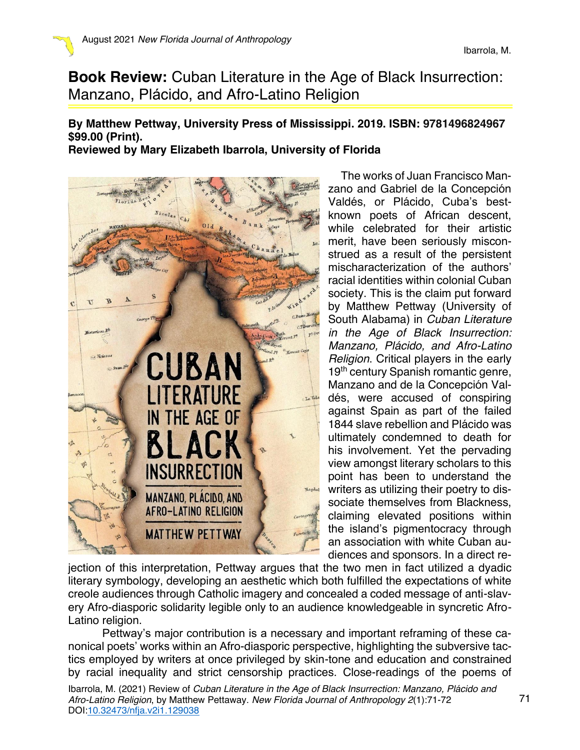**Book Review:** Cuban Literature in the Age of Black Insurrection: Manzano, Plácido, and Afro-Latino Religion

## **By Matthew Pettway, University Press of Mississippi. 2019. ISBN: 9781496824967 \$99.00 (Print). Reviewed by Mary Elizabeth Ibarrola, University of Florida**

 $F_{l}$ <sub>ori</sub> $\lambda$ <sup>8</sup> CUBAN LITERATURE IN THE AGE OF **INSURRECTION MANZANO, PLACIDO, AND AFRO-LATINO RELIGION MATTHEW PETTWAY** 

The works of Juan Francisco Manzano and Gabriel de la Concepción Valdés, or Plácido, Cuba's bestknown poets of African descent, while celebrated for their artistic merit, have been seriously misconstrued as a result of the persistent mischaracterization of the authors' racial identities within colonial Cuban society. This is the claim put forward by Matthew Pettway (University of South Alabama) in *Cuban Literature in the Age of Black Insurrection: Manzano, Plácido, and Afro-Latino Religion*. Critical players in the early 19<sup>th</sup> century Spanish romantic genre, Manzano and de la Concepción Valdés, were accused of conspiring against Spain as part of the failed 1844 slave rebellion and Plácido was ultimately condemned to death for his involvement. Yet the pervading view amongst literary scholars to this point has been to understand the writers as utilizing their poetry to dissociate themselves from Blackness, claiming elevated positions within the island's pigmentocracy through an association with white Cuban audiences and sponsors. In a direct re-

jection of this interpretation, Pettway argues that the two men in fact utilized a dyadic literary symbology, developing an aesthetic which both fulfilled the expectations of white creole audiences through Catholic imagery and concealed a coded message of anti-slavery Afro-diasporic solidarity legible only to an audience knowledgeable in syncretic Afro-Latino religion.

Pettway's major contribution is a necessary and important reframing of these canonical poets' works within an Afro-diasporic perspective, highlighting the subversive tactics employed by writers at once privileged by skin-tone and education and constrained by racial inequality and strict censorship practices. Close-readings of the poems of

Ibarrola, M. (2021) Review of *Cuban Literature in the Age of Black Insurrection: Manzano, Plácido and Afro-Latino Religion*, by Matthew Pettaway. *New Florida Journal of Anthropology 2*(1):71-72 DOI:10.32473/nfja.v2i1.129038